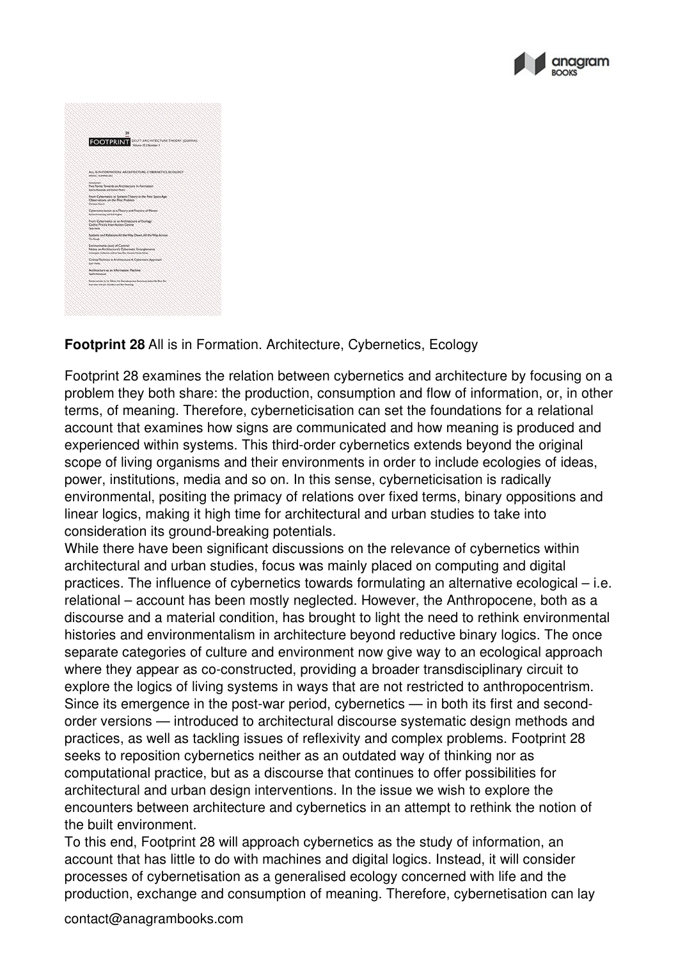

|                       | 28<br><b>FOOTPRINT</b> DELIT ARCHITECTURE THEORY JOURNAL                                                                                            |  |
|-----------------------|-----------------------------------------------------------------------------------------------------------------------------------------------------|--|
|                       |                                                                                                                                                     |  |
| SPRING I SUPPRIX 2017 | ALL IS IN FORMATION: ARCHITECTURE CYBERNETICS, ECOLOGY.                                                                                             |  |
| <b>Introduction</b>   | Five Points Towards an Architecture In-Formation<br>Sciente Koloshulle and Outmost Pentry                                                           |  |
| Origin Grad           | From Cybernesics to Systems Theory in the First Space Age:<br>Observations on the Plot Problem                                                      |  |
|                       | Cyberneticiandon as a Theory and Practice of Matter<br>Richel Annahung and Rod Highes'                                                              |  |
| <b>Seattle</b>        | From Cybernetics to an Architecture of Ecology.<br>Cedric Price's Inter-Action Centre                                                               |  |
| On Great              | Systems and Relations All the Way Down All the Way Across'                                                                                          |  |
|                       | Environments (oot) of Control:<br>Notes on Architecture's Cybernetic Entanglements<br>Contrigent Collection (Lonce Year, Kay Clouter, Nicole Sylva) |  |
| Zach Photos           | Critical Technics in Architecture: A Cybernetic Approach                                                                                            |  |
| <b>Town Harmond</b>   | Architecture as an Information Machine.                                                                                                             |  |
|                       | Ravaline actions by Lat Gilbert, Wit Giarinaleposition Karlerinum, Juliana din Shuin Karl<br>Instrument with talk Goodbuil and Ban Sweeting         |  |

## **Footprint 28** All is in Formation. Architecture, Cybernetics, Ecology

Footprint 28 examines the relation between cybernetics and architecture by focusing on a problem they both share: the production, consumption and flow of information, or, in other terms, of meaning. Therefore, cyberneticisation can set the foundations for a relational account that examines how signs are communicated and how meaning is produced and experienced within systems. This third-order cybernetics extends beyond the original scope of living organisms and their environments in order to include ecologies of ideas, power, institutions, media and so on. In this sense, cyberneticisation is radically environmental, positing the primacy of relations over fixed terms, binary oppositions and linear logics, making it high time for architectural and urban studies to take into consideration its ground-breaking potentials.

While there have been significant discussions on the relevance of cybernetics within architectural and urban studies, focus was mainly placed on computing and digital practices. The influence of cybernetics towards formulating an alternative ecological  $-$  i.e. relational – account has been mostly neglected. However, the Anthropocene, both as a discourse and a material condition, has brought to light the need to rethink environmental histories and environmentalism in architecture beyond reductive binary logics. The once separate categories of culture and environment now give way to an ecological approach where they appear as co-constructed, providing a broader transdisciplinary circuit to explore the logics of living systems in ways that are not restricted to anthropocentrism. Since its emergence in the post-war period, cybernetics — in both its first and second order versions — introduced to architectural discourse systematic design methods and practices, as well as tackling issues of reflexivity and complex problems. Footprint 28 seeks to reposition cybernetics neither as an outdated way of thinking nor as computational practice, but as a discourse that continues to offer possibilities for architectural and urban design interventions. In the issue we wish to explore the encounters between architecture and cybernetics in an attempt to rethink the notion of the built environment.

To this end, Footprint 28 will approach cybernetics as the study of information, an account that has little to do with machines and digital logics. Instead, it will consider processes of cybernetisation as a generalised ecology concerned with life and the production, exchange and consumption of meaning. Therefore, cybernetisation can lay